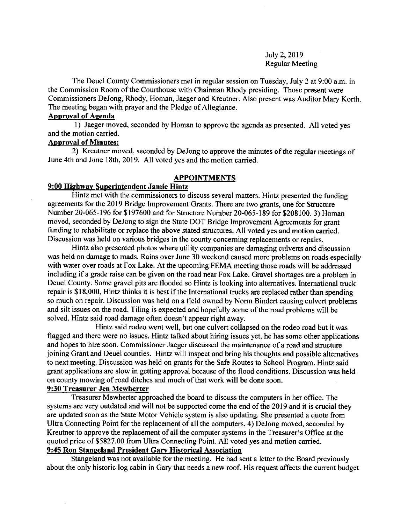### July 2,2019 Regular Meeting

The Deuel County Commissioners met in regular session on Tuesday, July 2 at 9:00 a.m. in the Commission Room of the Courthouse with Chairman Rhody presiding. Those present were Commissioners DeJong, Rhody, Homan, Jaeger and Kreutner. Also present was Auditor Mary Korth. The meeting began with prayer and the Pledge of Allegiance.

#### Aporoval of Agenda

1) Jaeger moved, seconded by Homan to approve the agenda as presented. All voted yes and the motion carried.

### Anoroval of Minutes:

2) Kreutner moved, seconded by DeJong to approve the minutes of the regular meetings of June 4th and June 18th, 2019. All voted yes and the motion carried.

#### APPOINTMENTS

### 9:00 Highwav Suoerintendent Jamie Hintz

Hintz met with the commissioners to discuss several matters. Hintz presented the funding agreements for the 2019 Bridge lmprovement Grants. There are two grants, one for Structure Number 20-065-196 for \$197600 and for Structure Number 20-065-189 for \$208100. 3) Homan moved, seconded by DeJong to sign the State DOT Bridge Improvement Agreements for grant funding to rehabilitate or replace the above stated structures. All voted yes and motion carried. Discussion was held on various bridges in the county concerning replacements or repairs.

Hintz also presented photos where utility companies are damaging culverts and discussion was held on damage to roads. Rains over June 30 weekend caused more problems on roads especially with water over roads at Fox Lake. At the upcoming FEMA meeting those roads will be addressed including if a grade raise can be given on the road near Fox Lake. Gravel shortages are a problem in Deuel County. Some gravel pits are flooded so Hintz is looking into altematives. Intemational truck repair is \$18,000, Hintz thinks it is best if the Intemational trucks are replaced rather than spending so much on repair. Discussion was held on a field owned by Norm Bindert causing culvert problems and silt issues on the road. Tiling is expected and hopefully some of the road problems will be solved. Hintz said road damage often doesn't appear right away.

Hintz said rodeo went well, but one culvert collapsed on the rodeo road but it was flagged and there were no issues. Hintz talked about hiring issues yet, he has some other applications and hopes to hire soon. Commissioner Jaeger discussed the maintenance of a road and structure joining Grant and Deuel counties. Hintz will inspect and bring his thoughts and possible alternatives to next meeting. Discussion was held on grants for the Safe Routes to School Program. Hintz said grant applications are slow in getting approval because of the flood conditions. Discussion was held on county mowing of road ditches and much of that work will be done soon.

### 9:30 Treasurer Jen Mewherter

Treasurer Mewherter approached the board to discuss the computers in her office. The systems are very outdated and will not be supported come the end of the 2019 and it is crucial they are updated soon as the State Motor Vehicle system is also updating. She presented a quote from Ultra Connecting Point for the replacement of all the computers. 4) DeJong moved, seconded by Kreutner to approve the replacement of all the computer systems in the Treasurer's Office at the quoted price of \$5827.00 from Ultra Connecting Point. All voted yes and motion carried. 9:45 Ron Stangeland President Gary Historical Association

Stangeland was not available for the meeting. He had sent a letter to the Board previously about the only historic log cabin in Gary that needs a new roof. His request affects the current budget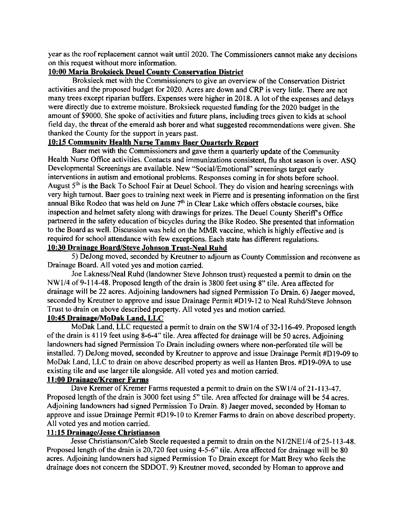year as the roof replacement cannot wait until 2020. The Commissioners cannot make any decisions on this request without more information.

### 10:00 Maria Broksieck Deuel Countv Conservation District

Broksieck met with the Commissioners to give an overview of the Conservation District activities and the proposed budget for 2020. Acres are down and CRP is very little. There are not many trees except riparian buffers. Expenses were higher in 2018. A lot of the expenses and delays were directly due to extreme moisture. Broksieck requested funding for the 2020 budget in the amount of \$9000. She spoke of activities and future plans, including trees given to kids at school field day, the threat of the emerald ash borer and what suggested recommendations were given. She thanked the County for the support in years past.

### 10: 15 Communitv Health Nurse Tammv Baer Ouarterlv Reoort

Baer met with the Commissioners and gave them a quarterly update of the Community Health Nurse Office activities. Contacts and immunizations consistent, flu shot season is over. ASQ Developmental Screenings are available. New "Social/Emotional" screenings target early interventions in autism and emotional problems. Responses coming in for shots before school. August 5<sup>th</sup> is the Back To School Fair at Deuel School. They do vision and hearing screenings with very high tumout. Baer goes to training next week in Pierre and is presenting information on the first annual Bike Rodeo that was held on June  $7<sup>th</sup>$  in Clear Lake which offers obstacle courses, bike inspection and helmet safety along with drawings for prizes. The Deuel County Sheriff's Office partnered in the safety education of bicycles during the Bike Rodeo. She presented that information to the Board as well. Discussion was held on the MMR vaccine, which is highly effective and is required for school attendance with few exceptions. Each state has different regulations.

# l0:30 Drainaqe Board/Steve Johnson Trust-Neal Ruhd

5) DeJong moved, seconded by Kreutner to adjourn as County Commission and reconvene as Drainage Board. All voted yes and motion carried.

Joe Lakness/Neal Ruhd (landowner Steve Johnson trust) requested a permit to drain on the  $NW1/4$  of 9-114-48. Proposed length of the drain is 3800 feet using 8" tile. Area affected for drainage will be 22 acres. Adjoining landowners had signed Permission To Drain. 6) Jaeger moved, seconded by Kreutner to approve and issue Drainage Permit #D19-12 to Neal Ruhd/Steve Johnson Trust to drain on above described property. All voted yes and motion carried.

## 10:45 Drainape/MoDak Land. LLC

MoDak Land, LLC requested a permit to drain on the SW1/4 of 32-116-49. Proposed length ofthe drain is 4119 feet using 8-6-4" tile. Area affected for drainage will be 50 acres. Adjoining landowners had signed Permission To Drain including owners where non-perforated tile will be installed. 7) DeJong moved, seconded by Kreutner to approve and issue Drainage Permit #Dl9-09 to MoDak Land, LLC to drain on above described property as well as Hanten Bros. #Dl9-09A to use existing tile and use larger tile alongside. All voted yes and motion carried.

### 11:00 Drainage/Kremer Farms

Dave Kremer of Kremer Farms requested a permit to drain on the SW1/4 of 21-113-47. Proposed length of the drain is 3000 feet using 5" tile. Area affected for drainage will be 54 acres. Adjoining landowners had signed Permission To Drain. 8) Jaeger moved, seconded by Homan to approve and issue Drainage Permit #D19-10 to Kremer Farms to drain on above described property. All voted yes and motion carried.

### ll : l5 Drainase/Jesse Christianson

Jesse Christianson/Caleb Steele requested a permit to drain on the N1/2NE1/4 of 25-113-48. Proposed length of the drain is 20,720 feet using 4-5-6" tile. Area affected for drainage will be 80 acres. Adjoining landowners had signed Permission To Drain except for Matt Brey who feels the drainage does not concem the SDDOT. 9) Kreutner moved, seconded by Homan to approve and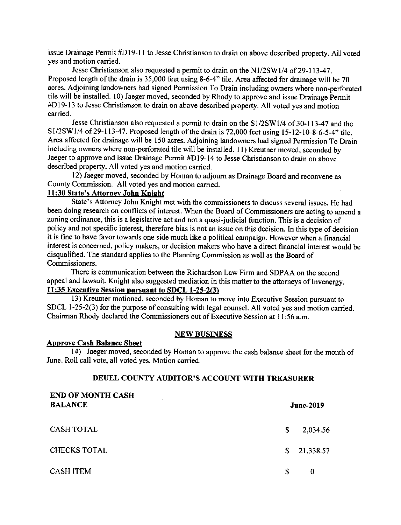issue Drainage Permit #Dl9-l I to Jesse Christianson to drain on above described property. All voted yes and motion carried.

Jesse Christianson also requested a permit to drain on the Nl/2SWll4 of 29-113-47. Proposed length of the drain is 35,000 feet using 8-6-4" tile. Area affected for drainage will be 70 acres. Adjoining landowners had signed Permission To Drain including owners where non-perforated tile will be installed. 10) Jaeger moved, seconded by Rhody to approve and issue Drainage Permit #Dl9-13 to Jesse Christianson to drain on above described property. All voted yes and motion carried.

Jesse Christianson also requested a permit to drain on the SI/2SW1/4 of 30-113-47 and the S1/2SW1/4 of 29-113-47. Proposed length of the drain is 72,000 feet using 15-12-10-8-6-5-4" tile. Area affected for drainage will be 150 acres. Adjoining landowners had signed Permission To Drain including owners where non-perforated tile will be installed. 11) Kreutner moved, seconded by Jaeger to approve and issue Drainage Permit #Dl9-14 to Jesse Christianson to drain on above described property. All voted yes and motion carried.

l2) Jaeger moved, seconded by Homan to adjoum as Drainage Board and reconvene as County Commission. All voted yes and motion carried.

# 11:30 State's Attorney John Knight

State's Attomey John Knight met with the commissioners to discuss several issues. He had been doing research on conflicts of interest. When the Board of Commissioners are acting to amend a zoning ordinance, this is a legislative act and not a quasi-judicial function. This is a decision of policy and not specific interest, therefore bias is not an issue on this decision. In this type of decision it is fine to have favor towards one side much like a political campaign. However when a financial interest is concemed, policy makers, or decision makers who have a direct financial interest would be disqualified. The standard applies to the Planning Commission as well as the Board of Commissioners.

There is communication between the Richardson Law Firm and SDPAA on the second appeal and lawsuit. Knight also suggested mediation in this matter to the attomeys of Invenergy. 11:35 Executive Session pursuant to SDCL 1-25-2(3)

l3) Kreutner motioned, seconded by Homan to move into Executive Session pursuant to SDCL  $1-25-2(3)$  for the purpose of consulting with legal counsel. All voted yes and motion carried. Chairman Rhody declared the Commissioners out of Executive Session at I l:56 a.m.

#### NEW BUSINESS

#### Approve Cash Balance Sheet

14) Jaeger moved, seconded by Homan to approve the cash balance sheet for the month of June. Roll call vote. all voted ves. Motion carried.

### DEUEL COUNTY AUDITOR'S ACCOUNT WITII TREASURER

| <b>END OF MONTH CASH</b><br><b>BALANCE</b> |    | <b>June-2019</b> |  |
|--------------------------------------------|----|------------------|--|
| <b>CASH TOTAL</b>                          | \$ | 2,034.56         |  |
| <b>CHECKS TOTAL</b>                        | S. | 21,338.57        |  |
| <b>CASH ITEM</b>                           | S  | 0                |  |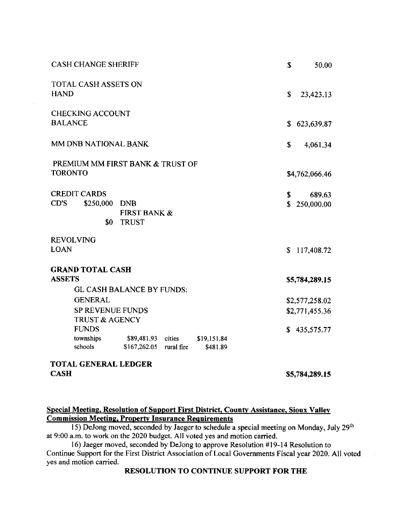| <b>CASH CHANGE SHERIFF</b>                                                                                       | \$                       | 50.00                            |
|------------------------------------------------------------------------------------------------------------------|--------------------------|----------------------------------|
| <b>TOTAL CASH ASSETS ON</b><br><b>HAND</b>                                                                       | \$                       | 23,423.13                        |
| <b>CHECKING ACCOUNT</b><br><b>BALANCE</b>                                                                        | \$                       | 623,639.87                       |
| MM DNB NATIONAL BANK                                                                                             | \$                       | 4,061.34                         |
| PREMIUM MM FIRST BANK & TRUST OF<br><b>TORONTO</b>                                                               |                          | \$4,762,066.46                   |
| <b>CREDIT CARDS</b><br>CD'S<br>\$250,000 DNB<br><b>FIRST BANK &amp;</b><br>\$0<br><b>TRUST</b>                   | \$<br>$\mathbf{\hat{S}}$ | 689.63<br>250,000.00             |
| <b>REVOLVING</b><br><b>LOAN</b>                                                                                  |                          | \$117,408.72                     |
| <b>GRAND TOTAL CASH</b><br><b>ASSETS</b><br>GL CASH BALANCE BY FUNDS:                                            |                          | \$5,784,289.15                   |
| <b>GENERAL</b><br><b>SP REVENUE FUNDS</b><br><b>TRUST &amp; AGENCY</b>                                           |                          | \$2,577,258.02<br>\$2,771,455.36 |
| <b>FUNDS</b><br>townships \$89,481.93 cities<br>\$19,151.84<br>schools<br>\$167,262.05<br>rural fire<br>\$481.89 |                          | \$435,575.77                     |
| <b>TOTAL GENERAL LEDGER</b><br><b>CASH</b>                                                                       |                          | \$5,784,289.15                   |
|                                                                                                                  |                          |                                  |

# Special Meeting, Resolution of Support First District, County Assistance, Sioux Valley Commission Meeting, Property Insurance Requirements

15) DeJong moved, seconded by Jaeger to schedule a special meeting on Monday, July 29<sup>th</sup> at 9:00 a.m. to work on the 2020 budget. All voted yes and motion carried.

l6) Jaeger moved, seconded by DeJong to approve Resolution #19-14 Resolution to Continue Support for the First District Association of Local Governments Fiscal year 2020. All voted yes and motion carried.

### RESOLUTION TO CONTINUE SUPPORT FOR THE